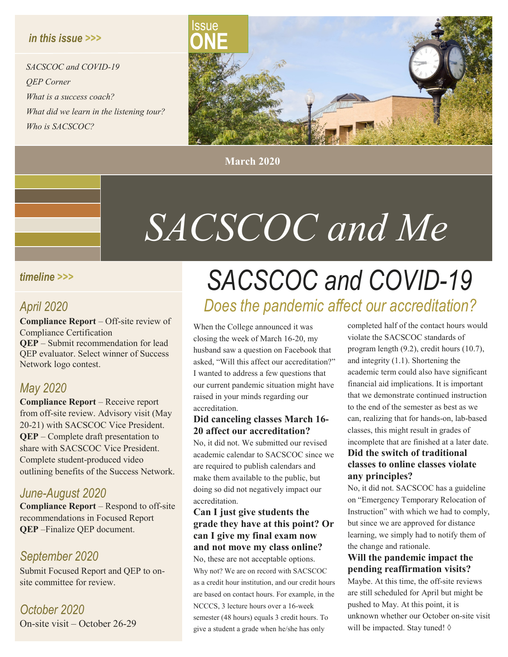#### *in this issue >>>*

*SACSCOC and COVID-19 QEP Corner What is a success coach? What did we learn in the listening tour? Who is SACSCOC?*



**March 2020**

## *SACSCOC and Me*

#### *timeline >>>*

#### *April 2020*

**Compliance Report** – Off-site review of Compliance Certification **QEP** – Submit recommendation for lead QEP evaluator. Select winner of Success Network logo contest.

#### *May 2020*

**Compliance Report** – Receive report from off-site review. Advisory visit (May 20-21) with SACSCOC Vice President. **QEP** – Complete draft presentation to share with SACSCOC Vice President. Complete student-produced video outlining benefits of the Success Network.

#### *June-August 2020*

**Compliance Report** – Respond to off-site recommendations in Focused Report **QEP** –Finalize QEP document.

#### *September 2020*

Submit Focused Report and QEP to onsite committee for review.

*October 2020* On-site visit – October 26-29

## *SACSCOC and COVID-19 Does the pandemic affect our accreditation?*

When the College announced it was closing the week of March 16-20, my husband saw a question on Facebook that asked, "Will this affect our accreditation?" I wanted to address a few questions that our current pandemic situation might have raised in your minds regarding our accreditation.

#### **Did canceling classes March 16- 20 affect our accreditation?**

No, it did not. We submitted our revised academic calendar to SACSCOC since we are required to publish calendars and make them available to the public, but doing so did not negatively impact our accreditation.

#### **Can I just give students the grade they have at this point? Or can I give my final exam now and not move my class online?**

No, these are not acceptable options. Why not? We are on record with SACSCOC as a credit hour institution, and our credit hours are based on contact hours. For example, in the NCCCS, 3 lecture hours over a 16-week semester (48 hours) equals 3 credit hours. To give a student a grade when he/she has only

completed half of the contact hours would violate the SACSCOC standards of program length (9.2), credit hours (10.7), and integrity (1.1). Shortening the academic term could also have significant financial aid implications. It is important that we demonstrate continued instruction to the end of the semester as best as we can, realizing that for hands-on, lab-based classes, this might result in grades of incomplete that are finished at a later date. **Did the switch of traditional classes to online classes violate any principles?**

No, it did not. SACSCOC has a guideline on "Emergency Temporary Relocation of Instruction" with which we had to comply, but since we are approved for distance learning, we simply had to notify them of the change and rationale.

#### **Will the pandemic impact the pending reaffirmation visits?**

Maybe. At this time, the off-site reviews are still scheduled for April but might be pushed to May. At this point, it is unknown whether our October on-site visit will be impacted. Stay tuned! ◊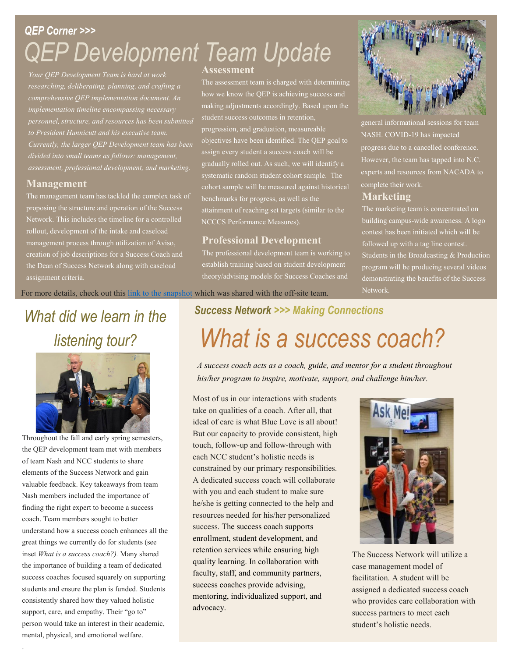## *QEP Corner >>> QEP Development Team Update*

*Your QEP Development Team is hard at work researching, deliberating, planning, and crafting a comprehensive QEP implementation document. An implementation timeline encompassing necessary personnel, structure, and resources has been submitted to President Hunnicutt and his executive team. Currently, the larger QEP Development team has been divided into small teams as follows: management, assessment, professional development, and marketing.*

#### **Management**

The management team has tackled the complex task of proposing the structure and operation of the Success Network. This includes the timeline for a controlled rollout, development of the intake and caseload management process through utilization of Aviso, creation of job descriptions for a Success Coach and the Dean of Success Network along with caseload assignment criteria.

#### **Assessment**

The assessment team is charged with determining how we know the QEP is achieving success and making adjustments accordingly. Based upon the progression, and graduation, measureable objectives have been identified. The QEP goal to assign every student a success coach will be gradually rolled out. As such, we will identify a systematic random student cohort sample. The cohort sample will be measured against historical benchmarks for progress, as well as the attainment of reaching set targets (similar to the NCCCS Performance Measures).

#### **Professional Development**

The professional development team is working to establish training based on student development theory/advising models for Success Coaches and



general informational sessions for team NASH. COVID-19 has impacted progress due to a cancelled conference. However, the team has tapped into N.C. experts and resources from NACADA to complete their work.

#### **Marketing**

The marketing team is concentrated on building campus-wide awareness. A logo contest has been initiated which will be followed up with a tag line contest. Students in the Broadcasting & Production program will be producing several videos demonstrating the benefits of the Success

For more details, check out this link to the [snapshot](https://docs.google.com/document/d/1eY8lH9aOwKKJJNtbA0WXTChAFcn5XpPhz0dksK612Jw/edit?usp=sharing) which was shared with the off-site team. Network.

## *What did we learn in the listening tour?*



Throughout the fall and early spring semesters, the QEP development team met with members of team Nash and NCC students to share elements of the Success Network and gain valuable feedback. Key takeaways from team Nash members included the importance of finding the right expert to become a success coach. Team members sought to better understand how a success coach enhances all the great things we currently do for students (see inset *What is a success coach?).* Many shared the importance of building a team of dedicated success coaches focused squarely on supporting students and ensure the plan is funded. Students consistently shared how they valued holistic support, care, and empathy. Their "go to" person would take an interest in their academic, mental, physical, and emotional welfare.

.

## *Success Network >>> Making Connections What is a success coach?*

*A success coach acts as a coach, guide, and mentor for a student throughout his/her program to inspire, motivate, support, and challenge him/her.*

Most of us in our interactions with students take on qualities of a coach. After all, that ideal of care is what Blue Love is all about! But our capacity to provide consistent, high touch, follow-up and follow-through with each NCC student's holistic needs is constrained by our primary responsibilities. A dedicated success coach will collaborate with you and each student to make sure he/she is getting connected to the help and resources needed for his/her personalized success. The success coach supports enrollment, student development, and retention services while ensuring high quality learning. In collaboration with faculty, staff, and community partners, success coaches provide advising, mentoring, individualized support, and advocacy.



The Success Network will utilize a case management model of facilitation. A student will be assigned a dedicated success coach who provides care collaboration with success partners to meet each student's holistic needs.